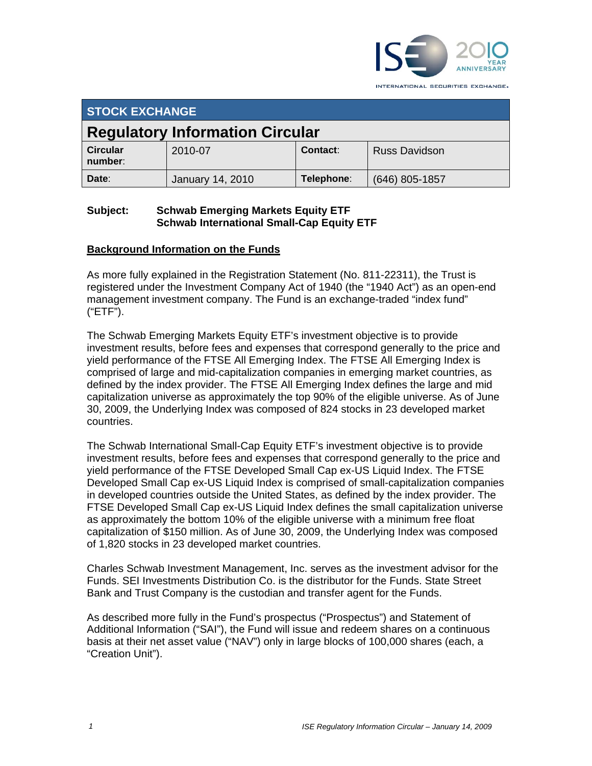

INTERNATIONAL SECURITIES EXCHANGE.

| <b>STOCK EXCHANGE</b>                  |                  |            |                      |  |  |
|----------------------------------------|------------------|------------|----------------------|--|--|
| <b>Regulatory Information Circular</b> |                  |            |                      |  |  |
| <b>Circular</b><br>number:             | 2010-07          | Contact:   | <b>Russ Davidson</b> |  |  |
| Date:                                  | January 14, 2010 | Telephone: | $(646)$ 805-1857     |  |  |

## **Subject: Schwab Emerging Markets Equity ETF Schwab International Small-Cap Equity ETF**

# **Background Information on the Funds**

As more fully explained in the Registration Statement (No. 811-22311), the Trust is registered under the Investment Company Act of 1940 (the "1940 Act") as an open-end management investment company. The Fund is an exchange-traded "index fund" ("ETF").

The Schwab Emerging Markets Equity ETF's investment objective is to provide investment results, before fees and expenses that correspond generally to the price and yield performance of the FTSE All Emerging Index. The FTSE All Emerging Index is comprised of large and mid-capitalization companies in emerging market countries, as defined by the index provider. The FTSE All Emerging Index defines the large and mid capitalization universe as approximately the top 90% of the eligible universe. As of June 30, 2009, the Underlying Index was composed of 824 stocks in 23 developed market countries.

The Schwab International Small-Cap Equity ETF's investment objective is to provide investment results, before fees and expenses that correspond generally to the price and yield performance of the FTSE Developed Small Cap ex-US Liquid Index. The FTSE Developed Small Cap ex-US Liquid Index is comprised of small-capitalization companies in developed countries outside the United States, as defined by the index provider. The FTSE Developed Small Cap ex-US Liquid Index defines the small capitalization universe as approximately the bottom 10% of the eligible universe with a minimum free float capitalization of \$150 million. As of June 30, 2009, the Underlying Index was composed of 1,820 stocks in 23 developed market countries.

Charles Schwab Investment Management, Inc. serves as the investment advisor for the Funds. SEI Investments Distribution Co. is the distributor for the Funds. State Street Bank and Trust Company is the custodian and transfer agent for the Funds.

As described more fully in the Fund's prospectus ("Prospectus") and Statement of Additional Information ("SAI"), the Fund will issue and redeem shares on a continuous basis at their net asset value ("NAV") only in large blocks of 100,000 shares (each, a "Creation Unit").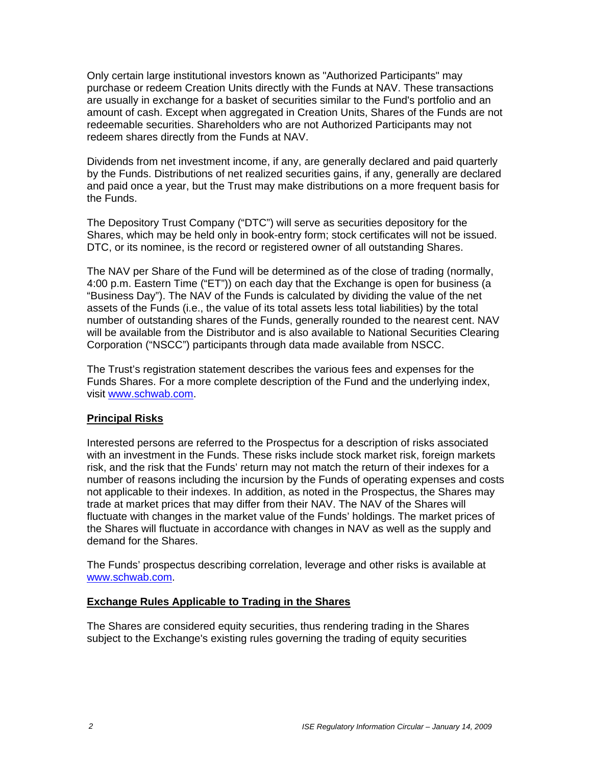Only certain large institutional investors known as "Authorized Participants" may purchase or redeem Creation Units directly with the Funds at NAV. These transactions are usually in exchange for a basket of securities similar to the Fund's portfolio and an amount of cash. Except when aggregated in Creation Units, Shares of the Funds are not redeemable securities. Shareholders who are not Authorized Participants may not redeem shares directly from the Funds at NAV.

Dividends from net investment income, if any, are generally declared and paid quarterly by the Funds. Distributions of net realized securities gains, if any, generally are declared and paid once a year, but the Trust may make distributions on a more frequent basis for the Funds.

The Depository Trust Company ("DTC") will serve as securities depository for the Shares, which may be held only in book-entry form; stock certificates will not be issued. DTC, or its nominee, is the record or registered owner of all outstanding Shares.

The NAV per Share of the Fund will be determined as of the close of trading (normally, 4:00 p.m. Eastern Time ("ET")) on each day that the Exchange is open for business (a "Business Day"). The NAV of the Funds is calculated by dividing the value of the net assets of the Funds (i.e., the value of its total assets less total liabilities) by the total number of outstanding shares of the Funds, generally rounded to the nearest cent. NAV will be available from the Distributor and is also available to National Securities Clearing Corporation ("NSCC") participants through data made available from NSCC.

The Trust's registration statement describes the various fees and expenses for the Funds Shares. For a more complete description of the Fund and the underlying index, visit www.schwab.com.

## **Principal Risks**

Interested persons are referred to the Prospectus for a description of risks associated with an investment in the Funds. These risks include stock market risk, foreign markets risk, and the risk that the Funds' return may not match the return of their indexes for a number of reasons including the incursion by the Funds of operating expenses and costs not applicable to their indexes. In addition, as noted in the Prospectus, the Shares may trade at market prices that may differ from their NAV. The NAV of the Shares will fluctuate with changes in the market value of the Funds' holdings. The market prices of the Shares will fluctuate in accordance with changes in NAV as well as the supply and demand for the Shares.

The Funds' prospectus describing correlation, leverage and other risks is available at www.schwab.com.

#### **Exchange Rules Applicable to Trading in the Shares**

The Shares are considered equity securities, thus rendering trading in the Shares subject to the Exchange's existing rules governing the trading of equity securities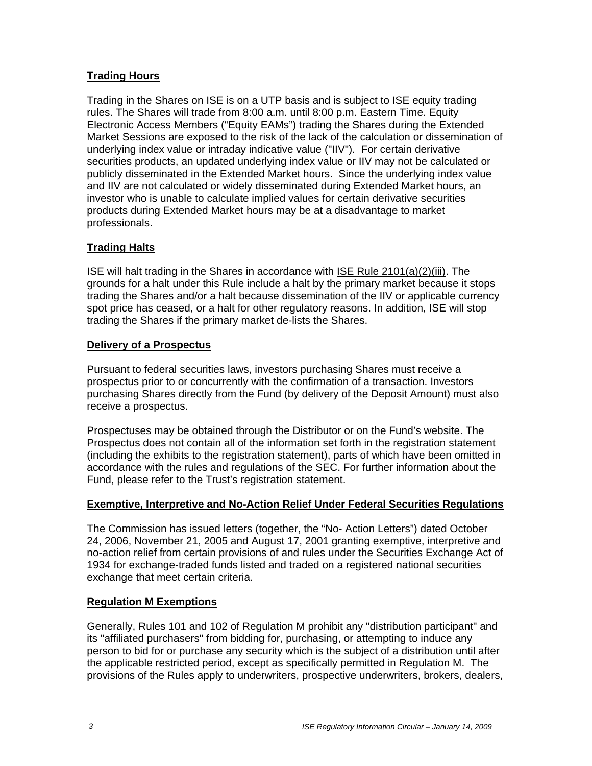# **Trading Hours**

Trading in the Shares on ISE is on a UTP basis and is subject to ISE equity trading rules. The Shares will trade from 8:00 a.m. until 8:00 p.m. Eastern Time. Equity Electronic Access Members ("Equity EAMs") trading the Shares during the Extended Market Sessions are exposed to the risk of the lack of the calculation or dissemination of underlying index value or intraday indicative value ("IIV"). For certain derivative securities products, an updated underlying index value or IIV may not be calculated or publicly disseminated in the Extended Market hours. Since the underlying index value and IIV are not calculated or widely disseminated during Extended Market hours, an investor who is unable to calculate implied values for certain derivative securities products during Extended Market hours may be at a disadvantage to market professionals.

# **Trading Halts**

ISE will halt trading in the Shares in accordance with ISE Rule 2101(a)(2)(iii). The grounds for a halt under this Rule include a halt by the primary market because it stops trading the Shares and/or a halt because dissemination of the IIV or applicable currency spot price has ceased, or a halt for other regulatory reasons. In addition, ISE will stop trading the Shares if the primary market de-lists the Shares.

## **Delivery of a Prospectus**

Pursuant to federal securities laws, investors purchasing Shares must receive a prospectus prior to or concurrently with the confirmation of a transaction. Investors purchasing Shares directly from the Fund (by delivery of the Deposit Amount) must also receive a prospectus.

Prospectuses may be obtained through the Distributor or on the Fund's website. The Prospectus does not contain all of the information set forth in the registration statement (including the exhibits to the registration statement), parts of which have been omitted in accordance with the rules and regulations of the SEC. For further information about the Fund, please refer to the Trust's registration statement.

#### **Exemptive, Interpretive and No-Action Relief Under Federal Securities Regulations**

The Commission has issued letters (together, the "No- Action Letters") dated October 24, 2006, November 21, 2005 and August 17, 2001 granting exemptive, interpretive and no-action relief from certain provisions of and rules under the Securities Exchange Act of 1934 for exchange-traded funds listed and traded on a registered national securities exchange that meet certain criteria.

## **Regulation M Exemptions**

Generally, Rules 101 and 102 of Regulation M prohibit any "distribution participant" and its "affiliated purchasers" from bidding for, purchasing, or attempting to induce any person to bid for or purchase any security which is the subject of a distribution until after the applicable restricted period, except as specifically permitted in Regulation M. The provisions of the Rules apply to underwriters, prospective underwriters, brokers, dealers,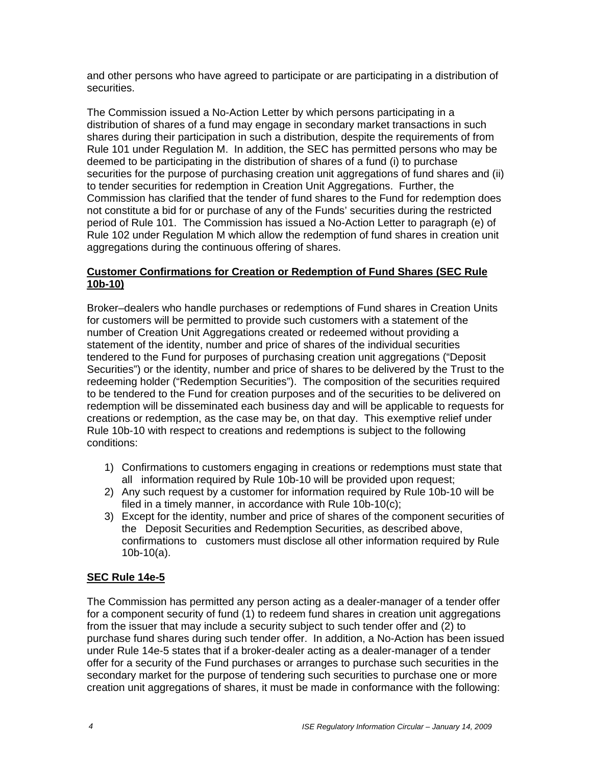and other persons who have agreed to participate or are participating in a distribution of securities.

The Commission issued a No-Action Letter by which persons participating in a distribution of shares of a fund may engage in secondary market transactions in such shares during their participation in such a distribution, despite the requirements of from Rule 101 under Regulation M. In addition, the SEC has permitted persons who may be deemed to be participating in the distribution of shares of a fund (i) to purchase securities for the purpose of purchasing creation unit aggregations of fund shares and (ii) to tender securities for redemption in Creation Unit Aggregations. Further, the Commission has clarified that the tender of fund shares to the Fund for redemption does not constitute a bid for or purchase of any of the Funds' securities during the restricted period of Rule 101. The Commission has issued a No-Action Letter to paragraph (e) of Rule 102 under Regulation M which allow the redemption of fund shares in creation unit aggregations during the continuous offering of shares.

## **Customer Confirmations for Creation or Redemption of Fund Shares (SEC Rule 10b-10)**

Broker–dealers who handle purchases or redemptions of Fund shares in Creation Units for customers will be permitted to provide such customers with a statement of the number of Creation Unit Aggregations created or redeemed without providing a statement of the identity, number and price of shares of the individual securities tendered to the Fund for purposes of purchasing creation unit aggregations ("Deposit Securities") or the identity, number and price of shares to be delivered by the Trust to the redeeming holder ("Redemption Securities"). The composition of the securities required to be tendered to the Fund for creation purposes and of the securities to be delivered on redemption will be disseminated each business day and will be applicable to requests for creations or redemption, as the case may be, on that day. This exemptive relief under Rule 10b-10 with respect to creations and redemptions is subject to the following conditions:

- 1) Confirmations to customers engaging in creations or redemptions must state that all information required by Rule 10b-10 will be provided upon request;
- 2) Any such request by a customer for information required by Rule 10b-10 will be filed in a timely manner, in accordance with Rule 10b-10(c);
- 3) Except for the identity, number and price of shares of the component securities of the Deposit Securities and Redemption Securities, as described above, confirmations to customers must disclose all other information required by Rule 10b-10(a).

# **SEC Rule 14e-5**

The Commission has permitted any person acting as a dealer-manager of a tender offer for a component security of fund (1) to redeem fund shares in creation unit aggregations from the issuer that may include a security subject to such tender offer and (2) to purchase fund shares during such tender offer. In addition, a No-Action has been issued under Rule 14e-5 states that if a broker-dealer acting as a dealer-manager of a tender offer for a security of the Fund purchases or arranges to purchase such securities in the secondary market for the purpose of tendering such securities to purchase one or more creation unit aggregations of shares, it must be made in conformance with the following: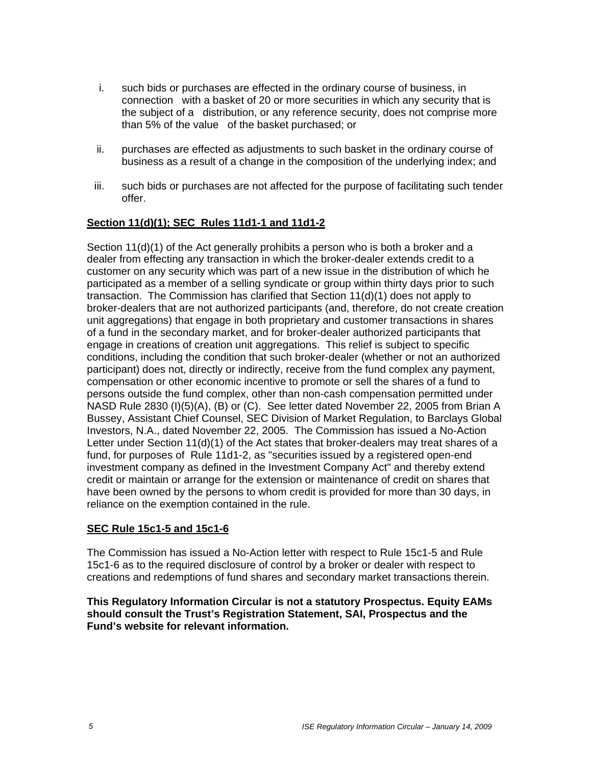- i. such bids or purchases are effected in the ordinary course of business, in connection with a basket of 20 or more securities in which any security that is the subject of a distribution, or any reference security, does not comprise more than 5% of the value of the basket purchased; or
- ii. purchases are effected as adjustments to such basket in the ordinary course of business as a result of a change in the composition of the underlying index; and
- iii. such bids or purchases are not affected for the purpose of facilitating such tender offer.

# **Section 11(d)(1); SEC Rules 11d1-1 and 11d1-2**

Section 11(d)(1) of the Act generally prohibits a person who is both a broker and a dealer from effecting any transaction in which the broker-dealer extends credit to a customer on any security which was part of a new issue in the distribution of which he participated as a member of a selling syndicate or group within thirty days prior to such transaction. The Commission has clarified that Section 11(d)(1) does not apply to broker-dealers that are not authorized participants (and, therefore, do not create creation unit aggregations) that engage in both proprietary and customer transactions in shares of a fund in the secondary market, and for broker-dealer authorized participants that engage in creations of creation unit aggregations. This relief is subject to specific conditions, including the condition that such broker-dealer (whether or not an authorized participant) does not, directly or indirectly, receive from the fund complex any payment, compensation or other economic incentive to promote or sell the shares of a fund to persons outside the fund complex, other than non-cash compensation permitted under NASD Rule 2830 (I)(5)(A), (B) or (C). See letter dated November 22, 2005 from Brian A Bussey, Assistant Chief Counsel, SEC Division of Market Regulation, to Barclays Global Investors, N.A., dated November 22, 2005. The Commission has issued a No-Action Letter under Section 11(d)(1) of the Act states that broker-dealers may treat shares of a fund, for purposes of Rule 11d1-2, as "securities issued by a registered open-end investment company as defined in the Investment Company Act" and thereby extend credit or maintain or arrange for the extension or maintenance of credit on shares that have been owned by the persons to whom credit is provided for more than 30 days, in reliance on the exemption contained in the rule.

## **SEC Rule 15c1-5 and 15c1-6**

The Commission has issued a No-Action letter with respect to Rule 15c1-5 and Rule 15c1-6 as to the required disclosure of control by a broker or dealer with respect to creations and redemptions of fund shares and secondary market transactions therein.

**This Regulatory Information Circular is not a statutory Prospectus. Equity EAMs should consult the Trust's Registration Statement, SAI, Prospectus and the Fund's website for relevant information.**